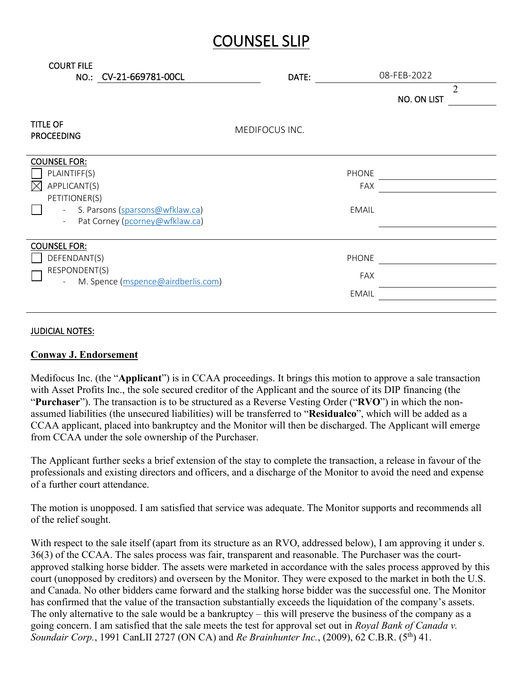## COUNSEL SLIP

| <b>COURT FILE</b><br>NO.: CV-21-669781-00CL                                                                                                                | DATE:          | 08-FEB-2022<br>$\overline{2}$<br>NO. ON LIST |
|------------------------------------------------------------------------------------------------------------------------------------------------------------|----------------|----------------------------------------------|
| <b>TITLE OF</b><br><b>PROCEEDING</b>                                                                                                                       | MEDIFOCUS INC. |                                              |
| <b>COUNSEL FOR:</b><br>PLAINTIFF(S)<br>APPLICANT(S)<br>M<br>PETITIONER(S)<br>S. Parsons (sparsons@wfklaw.ca)<br>$\equiv$<br>Pat Corney (pcorney@wfklaw.ca) |                | PHONE<br><b>FAX</b><br><b>EMAIL</b>          |
| <b>COUNSEL FOR:</b><br>DEFENDANT(S)<br>RESPONDENT(S)<br>M. Spence (mspence@airdberlis.com)                                                                 |                | <b>PHONE</b><br><b>FAX</b><br><b>EMAIL</b>   |

## JUDICIAL NOTES:

## **Conway J. Endorsement**

Medifocus Inc. (the "**Applicant**") is in CCAA proceedings. It brings this motion to approve a sale transaction with Asset Profits Inc., the sole secured creditor of the Applicant and the source of its DIP financing (the "**Purchaser**"). The transaction is to be structured as a Reverse Vesting Order ("**RVO**") in which the nonassumed liabilities (the unsecured liabilities) will be transferred to "**Residualco**", which will be added as a CCAA applicant, placed into bankruptcy and the Monitor will then be discharged. The Applicant will emerge from CCAA under the sole ownership of the Purchaser.

The Applicant further seeks a brief extension of the stay to complete the transaction, a release in favour of the professionals and existing directors and officers, and a discharge of the Monitor to avoid the need and expense of a further court attendance.

The motion is unopposed. I am satisfied that service was adequate. The Monitor supports and recommends all of the relief sought.

With respect to the sale itself (apart from its structure as an RVO, addressed below), I am approving it under s. 36(3) of the CCAA. The sales process was fair, transparent and reasonable. The Purchaser was the courtapproved stalking horse bidder. The assets were marketed in accordance with the sales process approved by this court (unopposed by creditors) and overseen by the Monitor. They were exposed to the market in both the U.S. and Canada. No other bidders came forward and the stalking horse bidder was the successful one. The Monitor has confirmed that the value of the transaction substantially exceeds the liquidation of the company's assets. The only alternative to the sale would be a bankruptcy – this will preserve the business of the company as a going concern. I am satisfied that the sale meets the test for approval set out in *Royal Bank of Canada v. Soundair Corp.*, 1991 CanLII 2727 (ON CA) and *Re Brainhunter Inc.*, (2009), 62 C.B.R. (5th) 41.